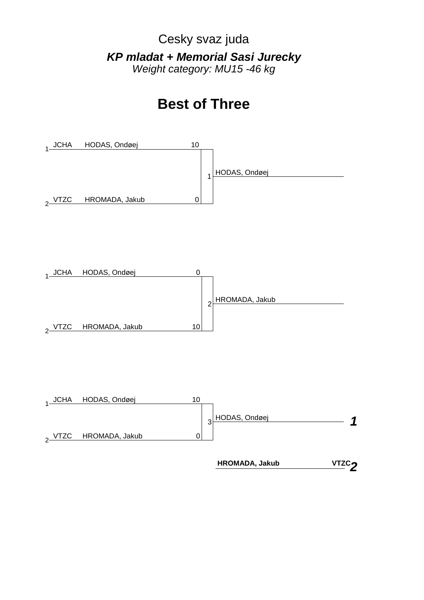Cesky svaz juda *KP mladat + Memorial Sasi Jurecky Weight category: MU15 -46 kg*

## **Best of Three**







 **HROMADA, Jakub**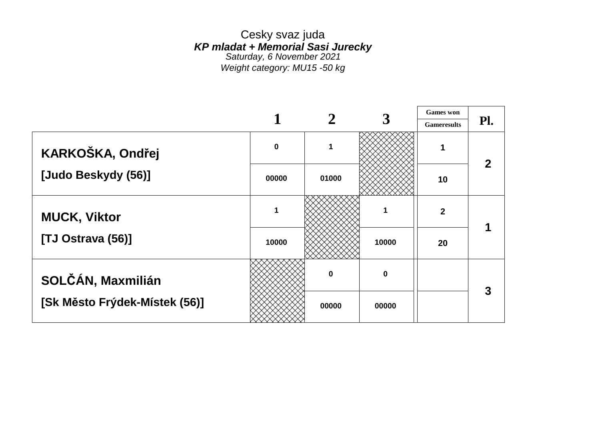Cesky svaz juda *KP mladat + Memorial Sasi Jurecky Saturday, 6 November 2021 Weight category: MU15 -50 kg*

|                               |           |          |          | <b>Games</b> won   |     |
|-------------------------------|-----------|----------|----------|--------------------|-----|
|                               |           |          |          | <b>Gameresults</b> | Pl. |
| KARKOŠKA, Ondřej              | $\pmb{0}$ | 1        |          | 1                  |     |
| [Judo Beskydy (56)]           | 00000     | 01000    |          | 10                 |     |
| <b>MUCK, Viktor</b>           | 1         |          | 1        | $\boldsymbol{2}$   |     |
| [TJ Ostrava (56)]             | 10000     |          | 10000    | 20                 |     |
| SOLČÁN, Maxmilián             |           | $\bf{0}$ | $\bf{0}$ |                    | 3   |
| [Sk Město Frýdek-Místek (56)] |           | 00000    | 00000    |                    |     |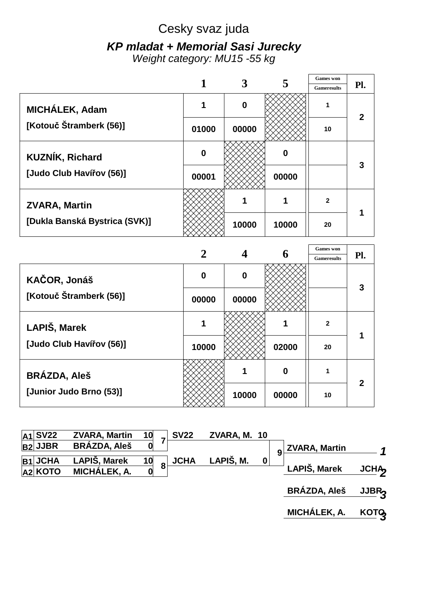# Cesky svaz juda *KP mladat + Memorial Sasi Jurecky*

*Weight category: MU15 -55 kg*

|                               |       |                  |       | <b>Games</b> won   |     |
|-------------------------------|-------|------------------|-------|--------------------|-----|
|                               |       |                  |       | <b>Gameresults</b> | Pl. |
| MICHÁLEK, Adam                | 1     | $\boldsymbol{0}$ |       | 1                  |     |
| [Kotouč Štramberk (56)]       | 01000 | 00000            |       | 10                 |     |
| <b>KUZNÍK, Richard</b>        | 0     |                  | 0     |                    | 3   |
| [Judo Club Havířov (56)]      | 00001 |                  | 00000 |                    |     |
| <b>ZVARA, Martin</b>          |       |                  |       | $\mathbf{2}$       |     |
| [Dukla Banská Bystrica (SVK)] |       | 10000            | 10000 | 20                 |     |

|                          |       |          | h     | <b>Gameresults</b> | Pl.          |  |
|--------------------------|-------|----------|-------|--------------------|--------------|--|
| KAČOR, Jonáš             | 0     | $\bf{0}$ |       |                    | 3            |  |
| [Kotouč Štramberk (56)]  | 00000 | 00000    |       |                    |              |  |
| LAPIŠ, Marek             | 1     |          |       | $\mathbf{2}$       |              |  |
| [Judo Club Havířov (56)] | 10000 |          | 02000 | 20                 |              |  |
| <b>BRÁZDA, Aleš</b>      |       |          | 0     |                    | $\mathbf{2}$ |  |
| [Junior Judo Brno (53)]  |       | 10000    | 00000 | 10                 |              |  |

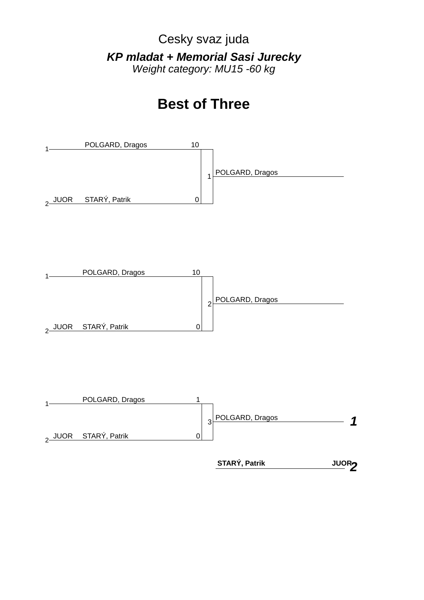Cesky svaz juda *KP mladat + Memorial Sasi Jurecky Weight category: MU15 -60 kg*

# **Best of Three**







**JUOR2**  $STAT$ *STARÝ, Patrik*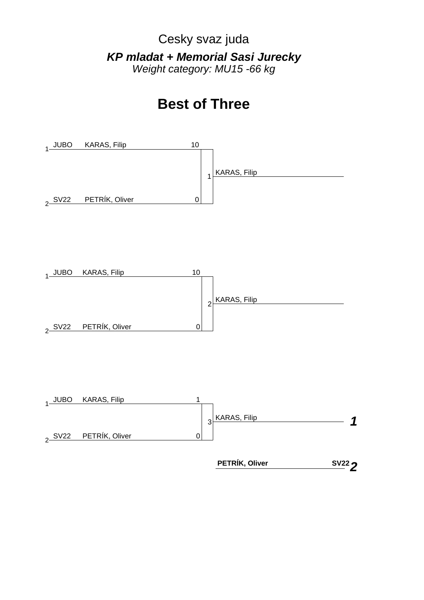Cesky svaz juda *KP mladat + Memorial Sasi Jurecky Weight category: MU15 -66 kg*

# **Best of Three**